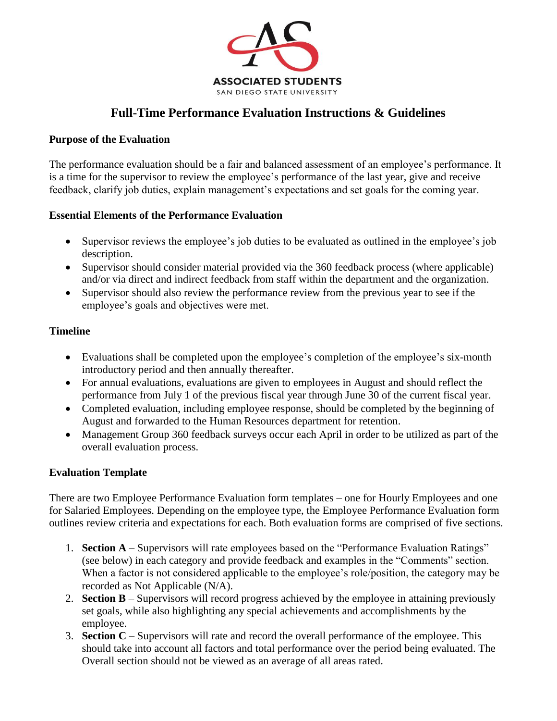

# **Full-Time Performance Evaluation Instructions & Guidelines**

#### **Purpose of the Evaluation**

The performance evaluation should be a fair and balanced assessment of an employee's performance. It is a time for the supervisor to review the employee's performance of the last year, give and receive feedback, clarify job duties, explain management's expectations and set goals for the coming year.

#### **Essential Elements of the Performance Evaluation**

- Supervisor reviews the employee's job duties to be evaluated as outlined in the employee's job description.
- Supervisor should consider material provided via the 360 feedback process (where applicable) and/or via direct and indirect feedback from staff within the department and the organization.
- Supervisor should also review the performance review from the previous year to see if the employee's goals and objectives were met.

#### **Timeline**

- Evaluations shall be completed upon the employee's completion of the employee's six-month introductory period and then annually thereafter.
- For annual evaluations, evaluations are given to employees in August and should reflect the performance from July 1 of the previous fiscal year through June 30 of the current fiscal year.
- Completed evaluation, including employee response, should be completed by the beginning of August and forwarded to the Human Resources department for retention.
- Management Group 360 feedback surveys occur each April in order to be utilized as part of the overall evaluation process.

#### **Evaluation Template**

There are two Employee Performance Evaluation form templates – one for Hourly Employees and one for Salaried Employees. Depending on the employee type, the Employee Performance Evaluation form outlines review criteria and expectations for each. Both evaluation forms are comprised of five sections.

- 1. **Section A** Supervisors will rate employees based on the "Performance Evaluation Ratings" (see below) in each category and provide feedback and examples in the "Comments" section. When a factor is not considered applicable to the employee's role/position, the category may be recorded as Not Applicable (N/A).
- 2. **Section B** Supervisors will record progress achieved by the employee in attaining previously set goals, while also highlighting any special achievements and accomplishments by the employee.
- 3. **Section C** Supervisors will rate and record the overall performance of the employee. This should take into account all factors and total performance over the period being evaluated. The Overall section should not be viewed as an average of all areas rated.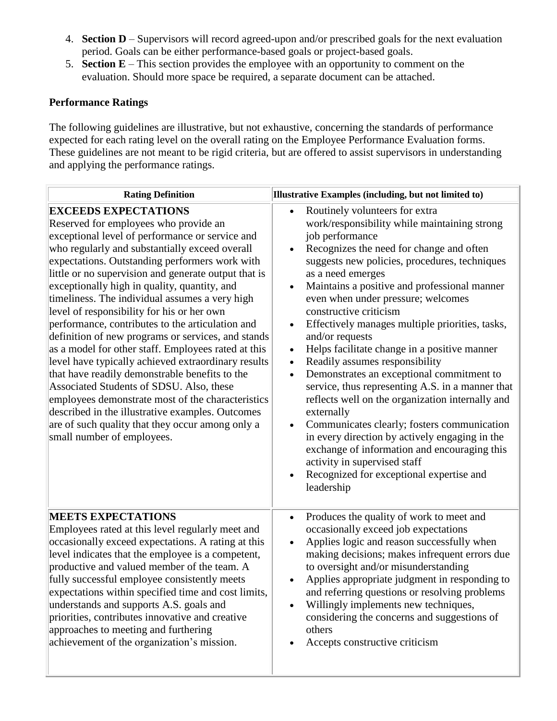- 4. **Section D** Supervisors will record agreed-upon and/or prescribed goals for the next evaluation period. Goals can be either performance-based goals or project-based goals.
- 5. **Section E** This section provides the employee with an opportunity to comment on the evaluation. Should more space be required, a separate document can be attached.

## **Performance Ratings**

The following guidelines are illustrative, but not exhaustive, concerning the standards of performance expected for each rating level on the overall rating on the Employee Performance Evaluation forms. These guidelines are not meant to be rigid criteria, but are offered to assist supervisors in understanding and applying the performance ratings.

| <b>Rating Definition</b>                                                                                                                                                                                                                                                                                                                                                                                                                                                                                                                                                                                                                                                                                                                                                                                                                                                                                                                             | Illustrative Examples (including, but not limited to)                                                                                                                                                                                                                                                                                                                                                                                                                                                                                                                                                                                                                                                                                                                                                                                                                                                                                                                      |
|------------------------------------------------------------------------------------------------------------------------------------------------------------------------------------------------------------------------------------------------------------------------------------------------------------------------------------------------------------------------------------------------------------------------------------------------------------------------------------------------------------------------------------------------------------------------------------------------------------------------------------------------------------------------------------------------------------------------------------------------------------------------------------------------------------------------------------------------------------------------------------------------------------------------------------------------------|----------------------------------------------------------------------------------------------------------------------------------------------------------------------------------------------------------------------------------------------------------------------------------------------------------------------------------------------------------------------------------------------------------------------------------------------------------------------------------------------------------------------------------------------------------------------------------------------------------------------------------------------------------------------------------------------------------------------------------------------------------------------------------------------------------------------------------------------------------------------------------------------------------------------------------------------------------------------------|
| <b>EXCEEDS EXPECTATIONS</b><br>Reserved for employees who provide an<br>exceptional level of performance or service and<br>who regularly and substantially exceed overall<br>expectations. Outstanding performers work with<br>little or no supervision and generate output that is<br>exceptionally high in quality, quantity, and<br>timeliness. The individual assumes a very high<br>level of responsibility for his or her own<br>performance, contributes to the articulation and<br>definition of new programs or services, and stands<br>as a model for other staff. Employees rated at this<br>level have typically achieved extraordinary results<br>that have readily demonstrable benefits to the<br>Associated Students of SDSU. Also, these<br>employees demonstrate most of the characteristics<br>described in the illustrative examples. Outcomes<br>are of such quality that they occur among only a<br>small number of employees. | Routinely volunteers for extra<br>$\bullet$<br>work/responsibility while maintaining strong<br>job performance<br>Recognizes the need for change and often<br>suggests new policies, procedures, techniques<br>as a need emerges<br>Maintains a positive and professional manner<br>even when under pressure; welcomes<br>constructive criticism<br>Effectively manages multiple priorities, tasks,<br>$\bullet$<br>and/or requests<br>Helps facilitate change in a positive manner<br>$\bullet$<br>Readily assumes responsibility<br>$\bullet$<br>Demonstrates an exceptional commitment to<br>$\bullet$<br>service, thus representing A.S. in a manner that<br>reflects well on the organization internally and<br>externally<br>Communicates clearly; fosters communication<br>in every direction by actively engaging in the<br>exchange of information and encouraging this<br>activity in supervised staff<br>Recognized for exceptional expertise and<br>leadership |
| <b>MEETS EXPECTATIONS</b><br>Employees rated at this level regularly meet and<br>occasionally exceed expectations. A rating at this<br>level indicates that the employee is a competent,<br>productive and valued member of the team. A<br>fully successful employee consistently meets<br>expectations within specified time and cost limits,<br>understands and supports A.S. goals and<br>priorities, contributes innovative and creative<br>approaches to meeting and furthering<br>achievement of the organization's mission.                                                                                                                                                                                                                                                                                                                                                                                                                   | Produces the quality of work to meet and<br>$\bullet$<br>occasionally exceed job expectations<br>Applies logic and reason successfully when<br>$\bullet$<br>making decisions; makes infrequent errors due<br>to oversight and/or misunderstanding<br>Applies appropriate judgment in responding to<br>and referring questions or resolving problems<br>Willingly implements new techniques,<br>considering the concerns and suggestions of<br>others<br>Accepts constructive criticism                                                                                                                                                                                                                                                                                                                                                                                                                                                                                     |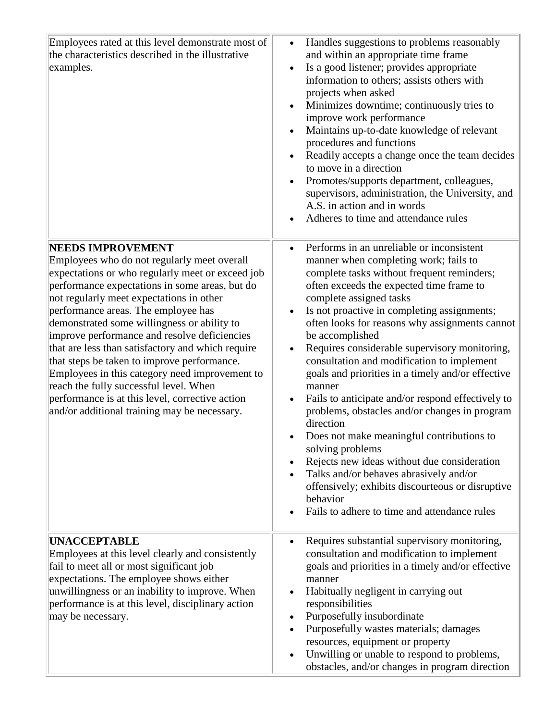| Employees rated at this level demonstrate most of<br>the characteristics described in the illustrative<br>examples.                                                                                                                                                                                                                                                                                                                                                                                                                                                                                                                                                | Handles suggestions to problems reasonably<br>$\bullet$<br>and within an appropriate time frame<br>Is a good listener; provides appropriate<br>information to others; assists others with<br>projects when asked<br>Minimizes downtime; continuously tries to<br>improve work performance<br>Maintains up-to-date knowledge of relevant<br>procedures and functions<br>Readily accepts a change once the team decides<br>to move in a direction<br>Promotes/supports department, colleagues,<br>supervisors, administration, the University, and<br>A.S. in action and in words<br>Adheres to time and attendance rules                                                                                                                                                                                                                                                                                          |
|--------------------------------------------------------------------------------------------------------------------------------------------------------------------------------------------------------------------------------------------------------------------------------------------------------------------------------------------------------------------------------------------------------------------------------------------------------------------------------------------------------------------------------------------------------------------------------------------------------------------------------------------------------------------|------------------------------------------------------------------------------------------------------------------------------------------------------------------------------------------------------------------------------------------------------------------------------------------------------------------------------------------------------------------------------------------------------------------------------------------------------------------------------------------------------------------------------------------------------------------------------------------------------------------------------------------------------------------------------------------------------------------------------------------------------------------------------------------------------------------------------------------------------------------------------------------------------------------|
| <b>NEEDS IMPROVEMENT</b><br>Employees who do not regularly meet overall<br>expectations or who regularly meet or exceed job<br>performance expectations in some areas, but do<br>not regularly meet expectations in other<br>performance areas. The employee has<br>demonstrated some willingness or ability to<br>improve performance and resolve deficiencies<br>that are less than satisfactory and which require<br>that steps be taken to improve performance.<br>Employees in this category need improvement to<br>reach the fully successful level. When<br>performance is at this level, corrective action<br>and/or additional training may be necessary. | Performs in an unreliable or inconsistent<br>$\bullet$<br>manner when completing work; fails to<br>complete tasks without frequent reminders;<br>often exceeds the expected time frame to<br>complete assigned tasks<br>Is not proactive in completing assignments;<br>often looks for reasons why assignments cannot<br>be accomplished<br>Requires considerable supervisory monitoring,<br>$\bullet$<br>consultation and modification to implement<br>goals and priorities in a timely and/or effective<br>manner<br>Fails to anticipate and/or respond effectively to<br>problems, obstacles and/or changes in program<br>direction<br>Does not make meaningful contributions to<br>solving problems<br>Rejects new ideas without due consideration<br>Talks and/or behaves abrasively and/or<br>offensively; exhibits discourteous or disruptive<br>behavior<br>Fails to adhere to time and attendance rules |
| <b>UNACCEPTABLE</b><br>Employees at this level clearly and consistently<br>fail to meet all or most significant job<br>expectations. The employee shows either<br>unwillingness or an inability to improve. When<br>performance is at this level, disciplinary action<br>may be necessary.                                                                                                                                                                                                                                                                                                                                                                         | Requires substantial supervisory monitoring,<br>$\bullet$<br>consultation and modification to implement<br>goals and priorities in a timely and/or effective<br>manner<br>Habitually negligent in carrying out<br>responsibilities<br>Purposefully insubordinate<br>Purposefully wastes materials; damages<br>resources, equipment or property<br>Unwilling or unable to respond to problems,<br>$\bullet$<br>obstacles, and/or changes in program direction                                                                                                                                                                                                                                                                                                                                                                                                                                                     |